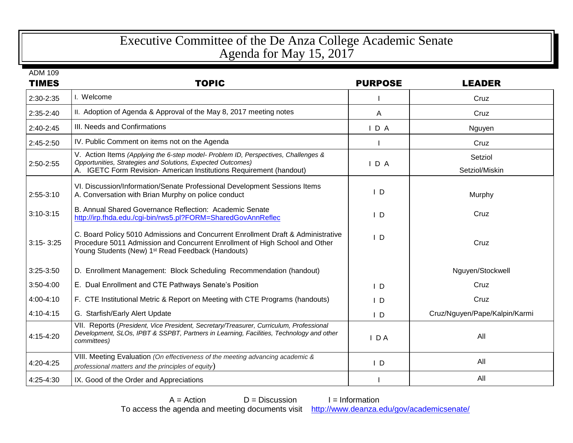## Executive Committee of the De Anza College Academic Senate Agenda for May 15, 2017

| <b>TIMES</b>  | <b>TOPIC</b>                                                                                                                                                                                                                     | <b>PURPOSE</b> | <b>LEADER</b>                 |
|---------------|----------------------------------------------------------------------------------------------------------------------------------------------------------------------------------------------------------------------------------|----------------|-------------------------------|
| 2:30-2:35     | I. Welcome                                                                                                                                                                                                                       |                | Cruz                          |
| $2:35-2:40$   | II. Adoption of Agenda & Approval of the May 8, 2017 meeting notes                                                                                                                                                               | A              | Cruz                          |
| $2:40-2:45$   | III. Needs and Confirmations                                                                                                                                                                                                     | IDA            | Nguyen                        |
| $2:45-2:50$   | IV. Public Comment on items not on the Agenda                                                                                                                                                                                    |                | Cruz                          |
| 2:50-2:55     | V. Action Items (Applying the 6-step model- Problem ID, Perspectives, Challenges &<br>Opportunities, Strategies and Solutions, Expected Outcomes)<br>A. IGETC Form Revision- American Institutions Requirement (handout)         | IDA            | Setziol<br>Setziol/Miskin     |
| $2:55-3:10$   | VI. Discussion/Information/Senate Professional Development Sessions Items<br>A. Conversation with Brian Murphy on police conduct                                                                                                 | $\mathsf{I}$ D | Murphy                        |
| $3:10-3:15$   | B. Annual Shared Governance Reflection: Academic Senate<br>http://irp.fhda.edu./cgi-bin/rws5.pl?FORM=SharedGovAnnReflec                                                                                                          | $\mathsf{I}$ D | Cruz                          |
| $3:15 - 3:25$ | C. Board Policy 5010 Admissions and Concurrent Enrollment Draft & Administrative<br>Procedure 5011 Admission and Concurrent Enrollment of High School and Other<br>Young Students (New) 1 <sup>st</sup> Read Feedback (Handouts) | $\mathsf{I}$ D | Cruz                          |
| $3:25-3:50$   | D. Enrollment Management: Block Scheduling Recommendation (handout)                                                                                                                                                              |                | Nguyen/Stockwell              |
| 3:50-4:00     | E. Dual Enrollment and CTE Pathways Senate's Position                                                                                                                                                                            | $\mathsf{I}$ D | Cruz                          |
| 4:00-4:10     | F. CTE Institutional Metric & Report on Meeting with CTE Programs (handouts)                                                                                                                                                     | $\mathsf{I}$ D | Cruz                          |
| 4:10-4:15     | G. Starfish/Early Alert Update                                                                                                                                                                                                   | $\mathsf{I}$ D | Cruz/Nguyen/Pape/Kalpin/Karmi |
| 4:15-4:20     | VII. Reports (President, Vice President, Secretary/Treasurer, Curriculum, Professional<br>Development, SLOs, IPBT & SSPBT, Partners in Learning, Facilities, Technology and other<br>committees)                                 | $I$ DA         | All                           |
| 4:20-4:25     | VIII. Meeting Evaluation (On effectiveness of the meeting advancing academic &<br>professional matters and the principles of equity)                                                                                             | $\mathsf{I}$ D | All                           |
| 4:25-4:30     | IX. Good of the Order and Appreciations                                                                                                                                                                                          |                | All                           |